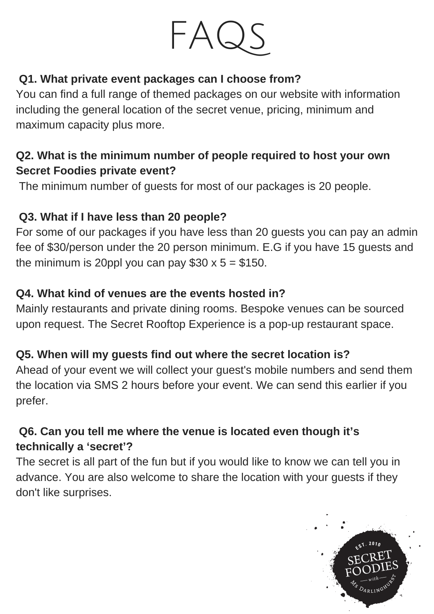

### **Q1. What private event packages can I choose from?**

You can find a full range of themed packages on our website with information including the general location of the secret venue, pricing, minimum and maximum capacity plus more.

## **Q2. What is the minimum number of people required to host your own Secret Foodies private event?**

The minimum number of guests for most of our packages is 20 people.

## **Q3. What if I have less than 20 people?**

For some of our packages if you have less than 20 guests you can pay an admin fee of \$30/person under the 20 person minimum. E.G if you have 15 guests and the minimum is 20ppl you can pay  $$30 \times 5 = $150$ .

### **Q4. What kind of venues are the events hosted in?**

Mainly restaurants and private dining rooms. Bespoke venues can be sourced upon request. The Secret Rooftop Experience is a pop-up restaurant space.

## **Q5. When will my guests find out where the secret location is?**

Ahead of your event we will collect your guest's mobile numbers and send them the location via SMS 2 hours before your event. We can send this earlier if you prefer.

## **Q6. Can you tell me where the venue is located even though it's technically a 'secret'?**

The secret is all part of the fun but if you would like to know we can tell you in advance. You are also welcome to share the location with your guests if they don't like surprises.

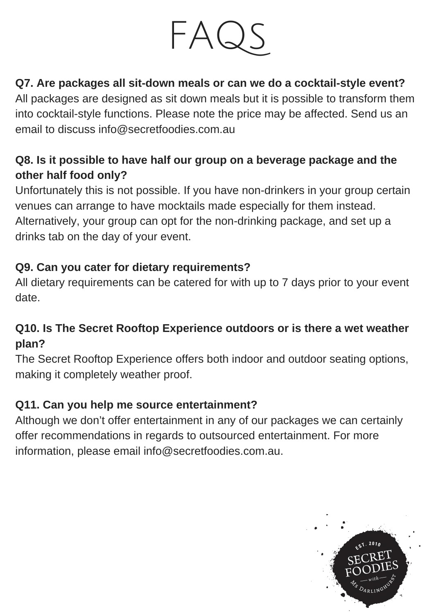

# **Q7. Are packages all sit-down meals or can we do a cocktail-style event?**

All packages are designed as sit down meals but it is possible to transform them into cocktail-style functions. Please note the price may be affected. Send us an email to discuss info@secretfoodies.com.au

# **Q8. Is it possible to have half our group on a beverage package and the other half food only?**

Unfortunately this is not possible. If you have non-drinkers in your group certain venues can arrange to have mocktails made especially for them instead. Alternatively, your group can opt for the non-drinking package, and set up a drinks tab on the day of your event.

### **Q9. Can you cater for dietary requirements?**

All dietary requirements can be catered for with up to 7 days prior to your event date.

## **Q10. Is The Secret Rooftop Experience outdoors or is there a wet weather plan?**

The Secret Rooftop Experience offers both indoor and outdoor seating options, making it completely weather proof.

#### **Q11. Can you help me source entertainment?**

Although we don't offer entertainment in any of our packages we can certainly offer recommendations in regards to outsourced entertainment. For more information, please email info@secretfoodies.com.au.